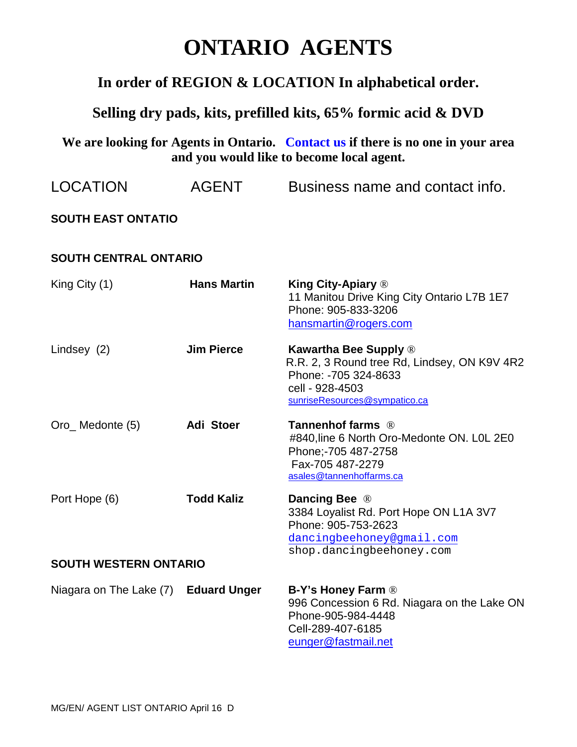## **ONTARIO AGENTS**

## **In order of REGION & LOCATION In alphabetical order.**

## **Selling dry pads, kits, prefilled kits, 65% formic acid & DVD**

**We are looking for Agents in Ontario. Contact us if there is no one in your area and you would like to become local agent.** 

| <b>LOCATION</b>              | <b>AGENT</b>        | Business name and contact info.                                                                                                                          |  |
|------------------------------|---------------------|----------------------------------------------------------------------------------------------------------------------------------------------------------|--|
| <b>SOUTH EAST ONTATIO</b>    |                     |                                                                                                                                                          |  |
| <b>SOUTH CENTRAL ONTARIO</b> |                     |                                                                                                                                                          |  |
| King City (1)                | <b>Hans Martin</b>  | <b>King City-Apiary ®</b><br>11 Manitou Drive King City Ontario L7B 1E7<br>Phone: 905-833-3206<br>hansmartin@rogers.com                                  |  |
| Lindsey (2)                  | <b>Jim Pierce</b>   | <b>Kawartha Bee Supply ®</b><br>R.R. 2, 3 Round tree Rd, Lindsey, ON K9V 4R2<br>Phone: -705 324-8633<br>cell - 928-4503<br>sunriseResources@sympatico.ca |  |
| Oro_Medonte (5)              | Adi Stoer           | Tannenhof farms ®<br>#840, line 6 North Oro-Medonte ON. LOL 2E0<br>Phone:-705 487-2758<br>Fax-705 487-2279<br>asales@tannenhoffarms.ca                   |  |
| Port Hope (6)                | <b>Todd Kaliz</b>   | Dancing Bee ®<br>3384 Loyalist Rd. Port Hope ON L1A 3V7<br>Phone: 905-753-2623<br>dancingbeehoney@gmail.com<br>shop.dancingbeehoney.com                  |  |
| <b>SOUTH WESTERN ONTARIO</b> |                     |                                                                                                                                                          |  |
| Niagara on The Lake (7)      | <b>Eduard Unger</b> | <b>B-Y's Honey Farm ®</b><br>996 Concession 6 Rd. Niagara on the Lake ON<br>Phone-905-984-4448<br>Cell-289-407-6185<br>eunger@fastmail.net               |  |